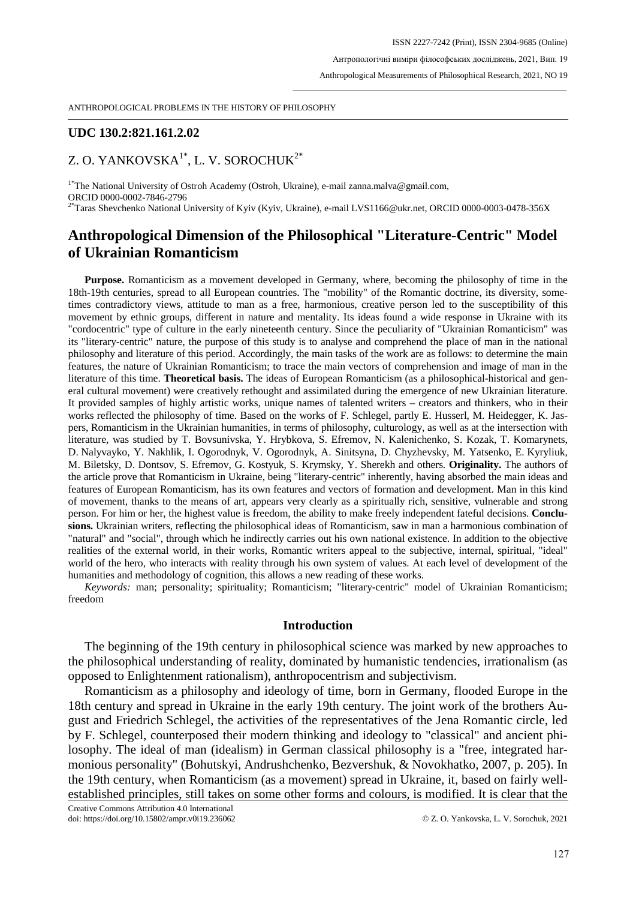## **UDC 130.2:821.161.2.02**

# Z. O. YANKOVSKA<sup>1\*</sup>, L. V. SOROCHUK<sup>2\*</sup>

<sup>1\*</sup>The National University of Ostroh Academy (Ostroh, Ukraine), e-mail zanna.malva@gmail.com, ORCID 0000-0002-7846-2796

<sup>2\*</sup>Taras Shevchenko National University of Kyiv (Kyiv, Ukraine), e-mail LVS1166@ukr.net, ORCID 0000-0003-0478-356X

# **Anthropological Dimension of the Philosophical "Literature-Centric" Model of Ukrainian Romanticism**

**Purpose.** Romanticism as a movement developed in Germany, where, becoming the philosophy of time in the 18th-19th centuries, spread to all European countries. The "mobility" of the Romantic doctrine, its diversity, sometimes contradictory views, attitude to man as a free, harmonious, creative person led to the susceptibility of this movement by ethnic groups, different in nature and mentality. Its ideas found a wide response in Ukraine with its "cordocentric" type of culture in the early nineteenth century. Since the peculiarity of "Ukrainian Romanticism" was its "literary-centric" nature, the purpose of this study is to analyse and comprehend the place of man in the national philosophy and literature of this period. Accordingly, the main tasks of the work are as follows: to determine the main features, the nature of Ukrainian Romanticism; to trace the main vectors of comprehension and image of man in the literature of this time. **Theoretical basis.** The ideas of European Romanticism (as a philosophical-historical and general cultural movement) were creatively rethought and assimilated during the emergence of new Ukrainian literature. It provided samples of highly artistic works, unique names of talented writers – creators and thinkers, who in their works reflected the philosophy of time. Based on the works of F. Schlegel, partly E. Husserl, M. Heidegger, K. Jaspers, Romanticism in the Ukrainian humanities, in terms of philosophy, culturology, as well as at the intersection with literature, was studied by T. Bovsunivska, Y. Hrybkova, S. Efremov, N. Kalenichenko, S. Kozak, T. Komarynets, D. Nalyvayko, Y. Nakhlik, I. Ogorodnyk, V. Ogorodnyk, A. Sinitsyna, D. Chyzhevsky, M. Yatsenko, E. Kyryliuk, M. Biletsky, D. Dontsov, S. Efremov, G. Kostyuk, S. Krymsky, Y. Sherekh and others. **Originality.** The authors of the article prove that Romanticism in Ukraine, being "literary-centric" inherently, having absorbed the main ideas and features of European Romanticism, has its own features and vectors of formation and development. Man in this kind of movement, thanks to the means of art, appears very clearly as a spiritually rich, sensitive, vulnerable and strong person. For him or her, the highest value is freedom, the ability to make freely independent fateful decisions. **Conclusions.** Ukrainian writers, reflecting the philosophical ideas of Romanticism, saw in man a harmonious combination of "natural" and "social", through which he indirectly carries out his own national existence. In addition to the objective realities of the external world, in their works, Romantic writers appeal to the subjective, internal, spiritual, "ideal" world of the hero, who interacts with reality through his own system of values. At each level of development of the humanities and methodology of cognition, this allows a new reading of these works.

*Keywords:* man; personality; spirituality; Romanticism; "literary-centric" model of Ukrainian Romanticism; freedom

### **Introduction**

The beginning of the 19th century in philosophical science was marked by new approaches to the philosophical understanding of reality, dominated by humanistic tendencies, irrationalism (as opposed to Enlightenment rationalism), anthropocentrism and subjectivism.

Romanticism as a philosophy and ideology of time, born in Germany, flooded Europe in the 18th century and spread in Ukraine in the early 19th century. The joint work of the brothers August and Friedrich Schlegel, the activities of the representatives of the Jena Romantic circle, led by F. Schlegel, counterposed their modern thinking and ideology to "classical" and ancient philosophy. The ideal of man (idealism) in German classical philosophy is a "free, integrated harmonious personality" (Bohutskyi, Andrushchenko, Bezvershuk, & Novokhatko, 2007, p. 205). In the 19th century, when Romanticism (as a movement) spread in Ukraine, it, based on fairly wellestablished principles, still takes on some other forms and colours, is modified. It is clear that the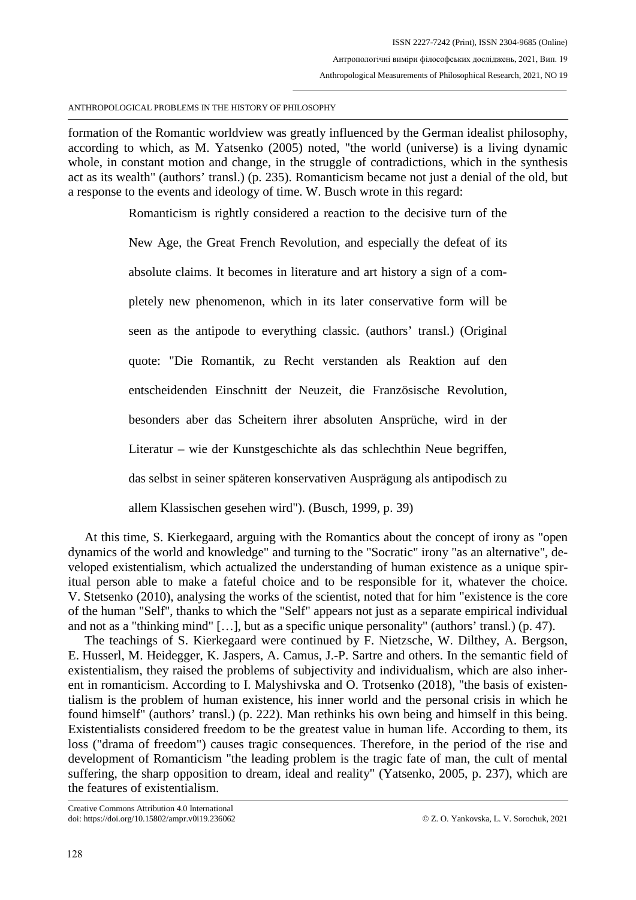formation of the Romantic worldview was greatly influenced by the German idealist philosophy, according to which, as M. Yatsenko (2005) noted, "the world (universe) is a living dynamic whole, in constant motion and change, in the struggle of contradictions, which in the synthesis act as its wealth" (authors' transl.) (p. 235). Romanticism became not just a denial of the old, but a response to the events and ideology of time. W. Busch wrote in this regard:

Romanticism is rightly considered a reaction to the decisive turn of the

New Age, the Great French Revolution, and especially the defeat of its absolute claims. It becomes in literature and art history a sign of a completely new phenomenon, which in its later conservative form will be seen as the antipode to everything classic. (authors' transl.) (Original quote: "Die Romantik, zu Recht verstanden als Reaktion auf den entscheidenden Einschnitt der Neuzeit, die Französische Revolution, besonders aber das Scheitern ihrer absoluten Ansprüche, wird in der Literatur – wie der Kunstgeschichte als das schlechthin Neue begriffen, das selbst in seiner späteren konservativen Ausprägung als antipodisch zu allem Klassischen gesehen wird"). (Busch, 1999, p. 39)

At this time, S. Kierkegaard, arguing with the Romantics about the concept of irony as "open dynamics of the world and knowledge" and turning to the "Socratic" irony "as an alternative", developed existentialism, which actualized the understanding of human existence as a unique spiritual person able to make a fateful choice and to be responsible for it, whatever the choice. V. Stetsenko (2010), analysing the works of the scientist, noted that for him "existence is the core of the human "Self", thanks to which the "Self" appears not just as a separate empirical individual and not as a "thinking mind" […], but as a specific unique personality" (authors' transl.) (p. 47).

The teachings of S. Kierkegaard were continued by F. Nietzsche, W. Dilthey, A. Bergson, E. Husserl, M. Heidegger, K. Jaspers, A. Camus, J.-P. Sartre and others. In the semantic field of existentialism, they raised the problems of subjectivity and individualism, which are also inherent in romanticism. According to I. Malyshivska and O. Trotsenko (2018), "the basis of existentialism is the problem of human existence, his inner world and the personal crisis in which he found himself" (authors' transl.) (p. 222). Man rethinks his own being and himself in this being. Existentialists considered freedom to be the greatest value in human life. According to them, its loss ("drama of freedom") causes tragic consequences. Therefore, in the period of the rise and development of Romanticism "the leading problem is the tragic fate of man, the cult of mental suffering, the sharp opposition to dream, ideal and reality" (Yatsenko, 2005, p. 237), which are the features of existentialism.

Creative Commons Attribution 4.0 International doi: https://doi.org/10.15802/ampr.v0i19.236062 © Z. O. Yankovska, L. V. Sorochuk, 2021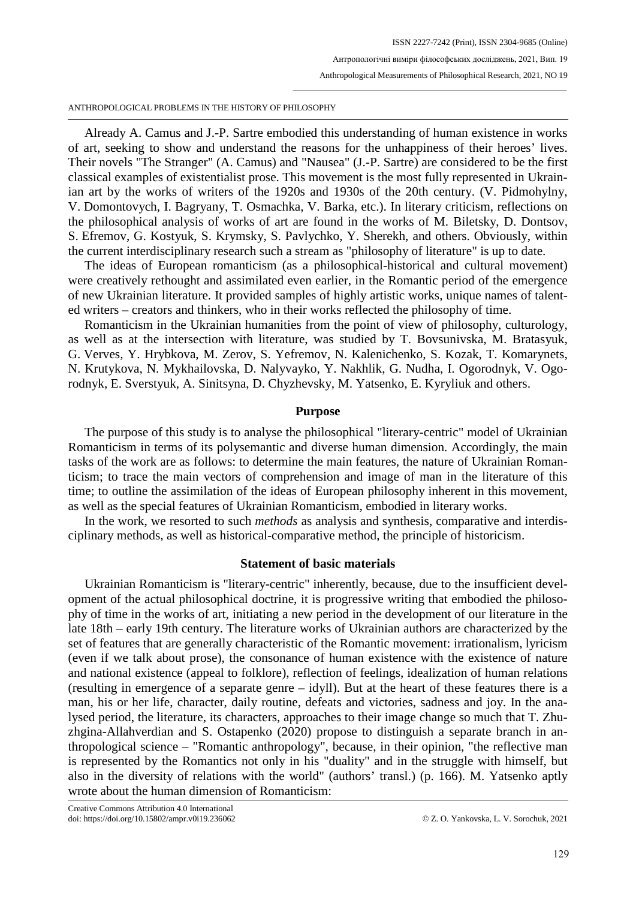Already A. Camus and J.-P. Sartre embodied this understanding of human existence in works of art, seeking to show and understand the reasons for the unhappiness of their heroes' lives. Their novels "The Stranger" (A. Camus) and "Nausea" (J.-P. Sartre) are considered to be the first classical examples of existentialist prose. This movement is the most fully represented in Ukrainian art by the works of writers of the 1920s and 1930s of the 20th century. (V. Pidmohylny, V. Domontovych, I. Bagryany, T. Osmachka, V. Barka, etc.). In literary criticism, reflections on the philosophical analysis of works of art are found in the works of M. Biletsky, D. Dontsov, S. Efremov, G. Kostyuk, S. Krymsky, S. Pavlychko, Y. Sherekh, and others. Obviously, within the current interdisciplinary research such a stream as "philosophy of literature" is up to date.

The ideas of European romanticism (as a philosophical-historical and cultural movement) were creatively rethought and assimilated even earlier, in the Romantic period of the emergence of new Ukrainian literature. It provided samples of highly artistic works, unique names of talented writers – creators and thinkers, who in their works reflected the philosophy of time.

Romanticism in the Ukrainian humanities from the point of view of philosophy, culturology, as well as at the intersection with literature, was studied by T. Bovsunivska, M. Bratasyuk, G. Verves, Y. Hrybkova, M. Zerov, S. Yefremov, N. Kalenichenko, S. Kozak, T. Komarynets, N. Krutykova, N. Mykhailovska, D. Nalyvayko, Y. Nakhlik, G. Nudha, I. Ogorodnyk, V. Ogorodnyk, E. Sverstyuk, A. Sinitsyna, D. Chyzhevsky, M. Yatsenko, E. Kyryliuk and others.

### **Purpose**

The purpose of this study is to analyse the philosophical "literary-centric" model of Ukrainian Romanticism in terms of its polysemantic and diverse human dimension. Accordingly, the main tasks of the work are as follows: to determine the main features, the nature of Ukrainian Romanticism; to trace the main vectors of comprehension and image of man in the literature of this time; to outline the assimilation of the ideas of European philosophy inherent in this movement, as well as the special features of Ukrainian Romanticism, embodied in literary works.

In the work, we resorted to such *methods* as analysis and synthesis, comparative and interdisciplinary methods, as well as historical-comparative method, the principle of historicism.

### **Statement of basic materials**

Ukrainian Romanticism is "literary-centric" inherently, because, due to the insufficient development of the actual philosophical doctrine, it is progressive writing that embodied the philosophy of time in the works of art, initiating a new period in the development of our literature in the late 18th – early 19th century. The literature works of Ukrainian authors are characterized by the set of features that are generally characteristic of the Romantic movement: irrationalism, lyricism (even if we talk about prose), the consonance of human existence with the existence of nature and national existence (appeal to folklore), reflection of feelings, idealization of human relations (resulting in emergence of a separate genre – idyll). But at the heart of these features there is a man, his or her life, character, daily routine, defeats and victories, sadness and joy. In the analysed period, the literature, its characters, approaches to their image change so much that T. Zhuzhgina-Allahverdian and S. Ostapenko (2020) propose to distinguish a separate branch in anthropological science – "Romantic anthropology", because, in their opinion, "the reflective man is represented by the Romantics not only in his "duality" and in the struggle with himself, but also in the diversity of relations with the world" (authors' transl.) (p. 166). M. Yatsenko aptly wrote about the human dimension of Romanticism: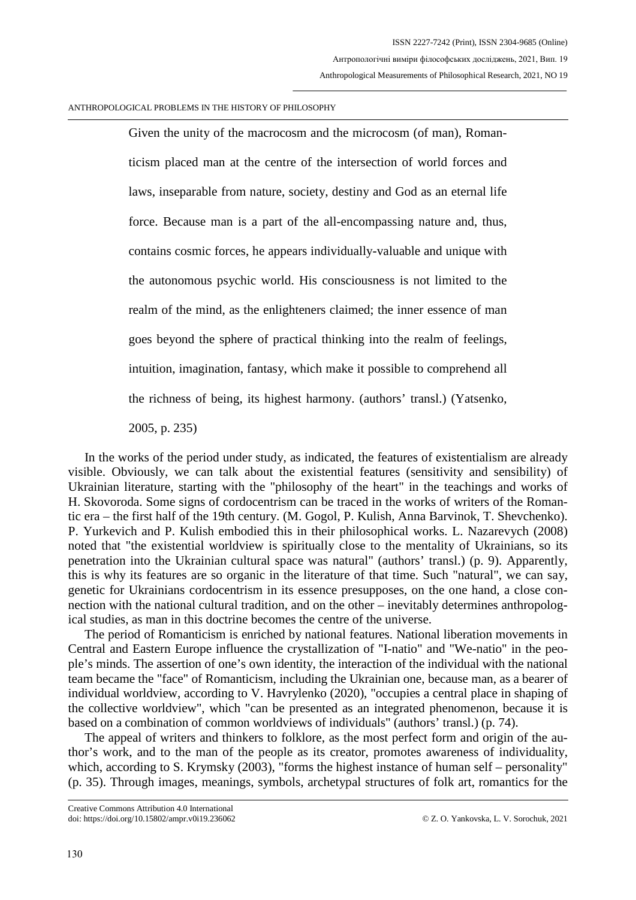Given the unity of the macrocosm and the microcosm (of man), Romanticism placed man at the centre of the intersection of world forces and laws, inseparable from nature, society, destiny and God as an eternal life force. Because man is a part of the all-encompassing nature and, thus, contains cosmic forces, he appears individually-valuable and unique with the autonomous psychic world. His consciousness is not limited to the realm of the mind, as the enlighteners claimed; the inner essence of man goes beyond the sphere of practical thinking into the realm of feelings, intuition, imagination, fantasy, which make it possible to comprehend all the richness of being, its highest harmony. (authors' transl.) (Yatsenko,

2005, p. 235)

In the works of the period under study, as indicated, the features of existentialism are already visible. Obviously, we can talk about the existential features (sensitivity and sensibility) of Ukrainian literature, starting with the "philosophy of the heart" in the teachings and works of H. Skovoroda. Some signs of cordocentrism can be traced in the works of writers of the Romantic era – the first half of the 19th century. (M. Gogol, P. Kulish, Anna Barvinok, T. Shevchenko). P. Yurkevich and P. Kulish embodied this in their philosophical works. L. Nazarevych (2008) noted that "the existential worldview is spiritually close to the mentality of Ukrainians, so its penetration into the Ukrainian cultural space was natural" (authors' transl.) (p. 9). Apparently, this is why its features are so organic in the literature of that time. Such "natural", we can say, genetic for Ukrainians cordocentrism in its essence presupposes, on the one hand, a close connection with the national cultural tradition, and on the other – inevitably determines anthropological studies, as man in this doctrine becomes the centre of the universe.

The period of Romanticism is enriched by national features. National liberation movements in Central and Eastern Europe influence the crystallization of "I-natio" and "We-natio" in the people's minds. The assertion of one's own identity, the interaction of the individual with the national team became the "face" of Romanticism, including the Ukrainian one, because man, as a bearer of individual worldview, according to V. Havrylenko (2020), "occupies a central place in shaping of the collective worldview", which "can be presented as an integrated phenomenon, because it is based on a combination of common worldviews of individuals" (authors' transl.) (p. 74).

The appeal of writers and thinkers to folklore, as the most perfect form and origin of the author's work, and to the man of the people as its creator, promotes awareness of individuality, which, according to S. Krymsky (2003), "forms the highest instance of human self – personality" (p. 35). Through images, meanings, symbols, archetypal structures of folk art, romantics for the

Creative Commons Attribution 4.0 International doi: https://doi.org/10.15802/ampr.v0i19.236062 © Z. O. Yankovska, L. V. Sorochuk, 2021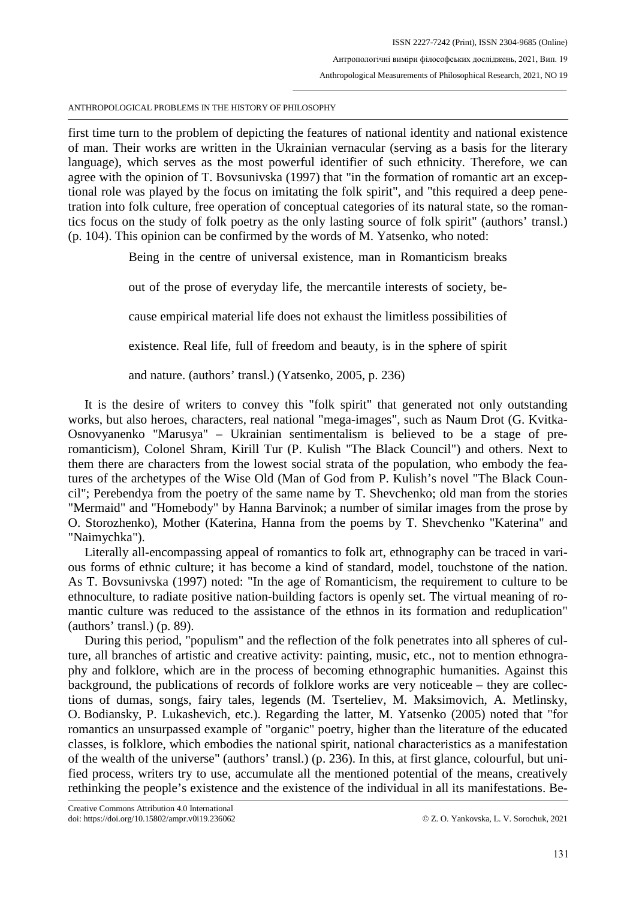first time turn to the problem of depicting the features of national identity and national existence of man. Their works are written in the Ukrainian vernacular (serving as a basis for the literary language), which serves as the most powerful identifier of such ethnicity. Therefore, we can agree with the opinion of T. Bovsunivska (1997) that "in the formation of romantic art an exceptional role was played by the focus on imitating the folk spirit", and "this required a deep penetration into folk culture, free operation of conceptual categories of its natural state, so the romantics focus on the study of folk poetry as the only lasting source of folk spirit" (authors' transl.) (p. 104). This opinion can be confirmed by the words of M. Yatsenko, who noted:

Being in the centre of universal existence, man in Romanticism breaks

out of the prose of everyday life, the mercantile interests of society, be-

cause empirical material life does not exhaust the limitless possibilities of

existence. Real life, full of freedom and beauty, is in the sphere of spirit

and nature. (authors' transl.) (Yatsenko, 2005, p. 236)

It is the desire of writers to convey this "folk spirit" that generated not only outstanding works, but also heroes, characters, real national "mega-images", such as Naum Drot (G. Kvitka-Osnovyanenko "Marusya" – Ukrainian sentimentalism is believed to be a stage of preromanticism), Colonel Shram, Kirill Tur (P. Kulish "The Black Council") and others. Next to them there are characters from the lowest social strata of the population, who embody the features of the archetypes of the Wise Old (Man of God from P. Kulish's novel "The Black Council"; Perebendya from the poetry of the same name by T. Shevchenko; old man from the stories "Mermaid" and "Homebody" by Hanna Barvinok; a number of similar images from the prose by O. Storozhenko), Mother (Katerina, Hanna from the poems by T. Shevchenko "Katerina" and "Naimychka").

Literally all-encompassing appeal of romantics to folk art, ethnography can be traced in various forms of ethnic culture; it has become a kind of standard, model, touchstone of the nation. As T. Bovsunivska (1997) noted: "In the age of Romanticism, the requirement to culture to be ethnoculture, to radiate positive nation-building factors is openly set. The virtual meaning of romantic culture was reduced to the assistance of the ethnos in its formation and reduplication" (authors' transl.) (p. 89).

During this period, "populism" and the reflection of the folk penetrates into all spheres of culture, all branches of artistic and creative activity: painting, music, etc., not to mention ethnography and folklore, which are in the process of becoming ethnographic humanities. Against this background, the publications of records of folklore works are very noticeable – they are collections of dumas, songs, fairy tales, legends (M. Tserteliev, M. Maksimovich, A. Metlinsky, O. Bodiansky, P. Lukashevich, etc.). Regarding the latter, M. Yatsenko (2005) noted that "for romantics an unsurpassed example of "organic" poetry, higher than the literature of the educated classes, is folklore, which embodies the national spirit, national characteristics as a manifestation of the wealth of the universe" (authors' transl.) (p. 236). In this, at first glance, colourful, but unified process, writers try to use, accumulate all the mentioned potential of the means, creatively rethinking the people's existence and the existence of the individual in all its manifestations. Be-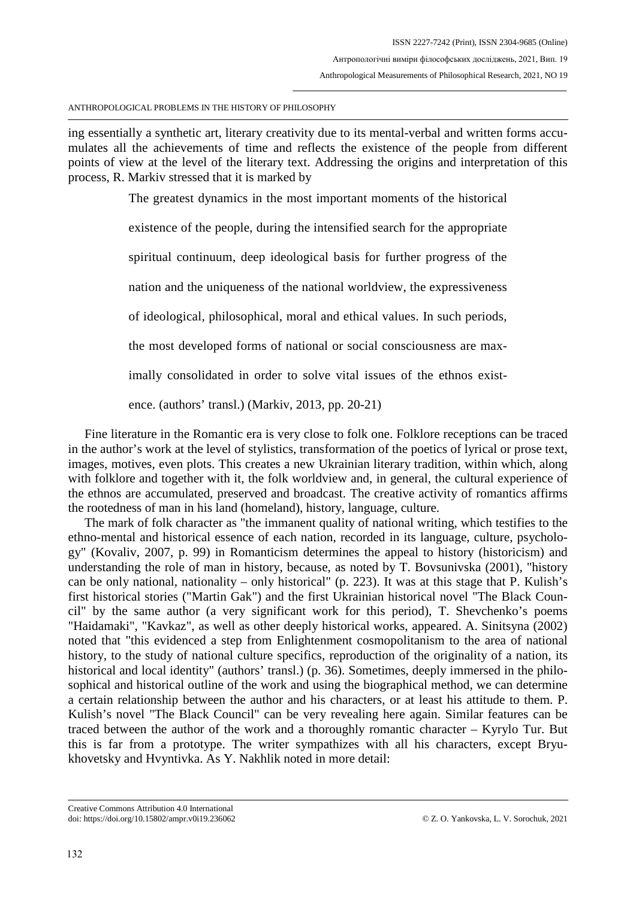ing essentially a synthetic art, literary creativity due to its mental-verbal and written forms accumulates all the achievements of time and reflects the existence of the people from different points of view at the level of the literary text. Addressing the origins and interpretation of this process, R. Markiv stressed that it is marked by

The greatest dynamics in the most important moments of the historical

existence of the people, during the intensified search for the appropriate

spiritual continuum, deep ideological basis for further progress of the

nation and the uniqueness of the national worldview, the expressiveness

of ideological, philosophical, moral and ethical values. In such periods,

the most developed forms of national or social consciousness are max-

imally consolidated in order to solve vital issues of the ethnos exist-

ence. (authors' transl.) (Markiv, 2013, pp. 20-21)

Fine literature in the Romantic era is very close to folk one. Folklore receptions can be traced in the author's work at the level of stylistics, transformation of the poetics of lyrical or prose text, images, motives, even plots. This creates a new Ukrainian literary tradition, within which, along with folklore and together with it, the folk worldview and, in general, the cultural experience of the ethnos are accumulated, preserved and broadcast. The creative activity of romantics affirms the rootedness of man in his land (homeland), history, language, culture.

The mark of folk character as "the immanent quality of national writing, which testifies to the ethno-mental and historical essence of each nation, recorded in its language, culture, psychology" (Kovaliv, 2007, p. 99) in Romanticism determines the appeal to history (historicism) and understanding the role of man in history, because, as noted by T. Bovsunivska (2001), "history can be only national, nationality – only historical" (p. 223). It was at this stage that P. Kulish's first historical stories ("Martin Gak") and the first Ukrainian historical novel "The Black Council" by the same author (a very significant work for this period), T. Shevchenko's poems "Haidamaki", "Kavkaz", as well as other deeply historical works, appeared. A. Sinitsyna (2002) noted that "this evidenced a step from Enlightenment cosmopolitanism to the area of national history, to the study of national culture specifics, reproduction of the originality of a nation, its historical and local identity" (authors' transl.) (p. 36). Sometimes, deeply immersed in the philosophical and historical outline of the work and using the biographical method, we can determine a certain relationship between the author and his characters, or at least his attitude to them. P. Kulish's novel "The Black Council" can be very revealing here again. Similar features can be traced between the author of the work and a thoroughly romantic character – Kyrylo Tur. But this is far from a prototype. The writer sympathizes with all his characters, except Bryukhovetsky and Hvyntivka. As Y. Nakhlik noted in more detail:

Creative Commons Attribution 4.0 International doi: https://doi.org/10.15802/ampr.v0i19.236062 © Z. O. Yankovska, L. V. Sorochuk, 2021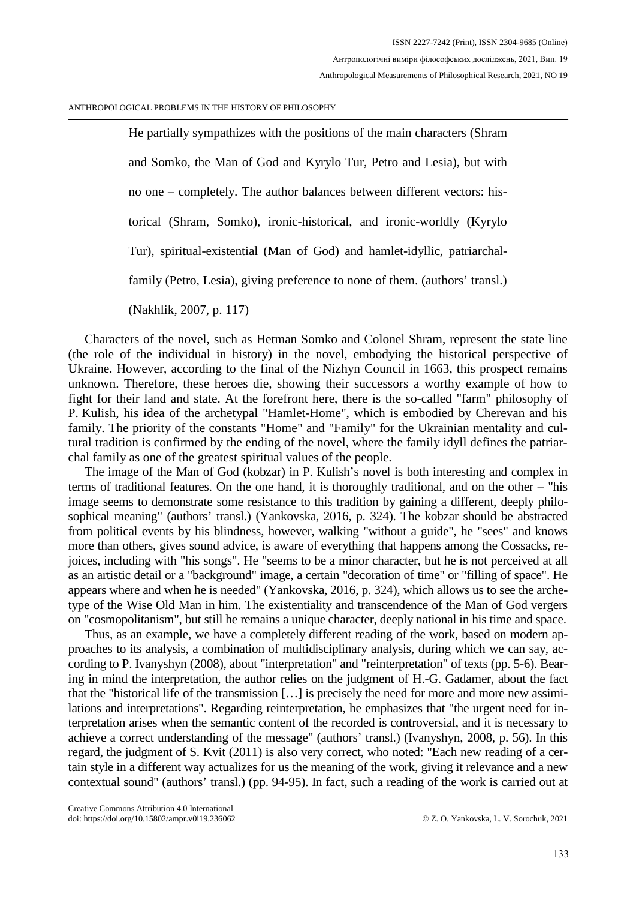He partially sympathizes with the positions of the main characters (Shram and Somko, the Man of God and Kyrylo Tur, Petro and Lesia), but with no one – completely. The author balances between different vectors: historical (Shram, Somko), ironic-historical, and ironic-worldly (Kyrylo Tur), spiritual-existential (Man of God) and hamlet-idyllic, patriarchalfamily (Petro, Lesia), giving preference to none of them. (authors' transl.) (Nakhlik, 2007, p. 117)

Characters of the novel, such as Hetman Somko and Colonel Shram, represent the state line (the role of the individual in history) in the novel, embodying the historical perspective of Ukraine. However, according to the final of the Nizhyn Council in 1663, this prospect remains unknown. Therefore, these heroes die, showing their successors a worthy example of how to fight for their land and state. At the forefront here, there is the so-called "farm" philosophy of P. Kulish, his idea of the archetypal "Hamlet-Home", which is embodied by Cherevan and his family. The priority of the constants "Home" and "Family" for the Ukrainian mentality and cultural tradition is confirmed by the ending of the novel, where the family idyll defines the patriarchal family as one of the greatest spiritual values of the people.

The image of the Man of God (kobzar) in P. Kulish's novel is both interesting and complex in terms of traditional features. On the one hand, it is thoroughly traditional, and on the other – "his image seems to demonstrate some resistance to this tradition by gaining a different, deeply philosophical meaning" (authors' transl.) (Yankovska, 2016, p. 324). The kobzar should be abstracted from political events by his blindness, however, walking "without a guide", he "sees" and knows more than others, gives sound advice, is aware of everything that happens among the Cossacks, rejoices, including with "his songs". He "seems to be a minor character, but he is not perceived at all as an artistic detail or a "background" image, a certain "decoration of time" or "filling of space". He appears where and when he is needed" (Yankovska, 2016, p. 324), which allows us to see the archetype of the Wise Old Man in him. The existentiality and transcendence of the Man of God vergers on "cosmopolitanism", but still he remains a unique character, deeply national in his time and space.

Thus, as an example, we have a completely different reading of the work, based on modern approaches to its analysis, a combination of multidisciplinary analysis, during which we can say, according to P. Ivanyshyn (2008), about "interpretation" and "reinterpretation" of texts (pp. 5-6). Bearing in mind the interpretation, the author relies on the judgment of H.-G. Gadamer, about the fact that the "historical life of the transmission […] is precisely the need for more and more new assimilations and interpretations". Regarding reinterpretation, he emphasizes that "the urgent need for interpretation arises when the semantic content of the recorded is controversial, and it is necessary to achieve a correct understanding of the message" (authors' transl.) (Ivanyshyn, 2008, p. 56). In this regard, the judgment of S. Kvit (2011) is also very correct, who noted: "Each new reading of a certain style in a different way actualizes for us the meaning of the work, giving it relevance and a new contextual sound" (authors' transl.) (pp. 94-95). In fact, such a reading of the work is carried out at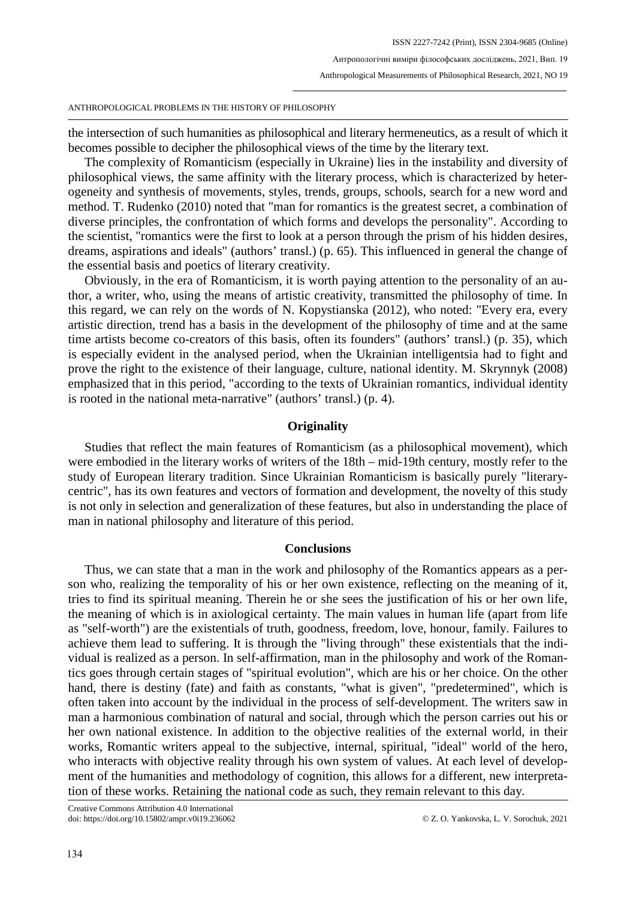the intersection of such humanities as philosophical and literary hermeneutics, as a result of which it becomes possible to decipher the philosophical views of the time by the literary text.

The complexity of Romanticism (especially in Ukraine) lies in the instability and diversity of philosophical views, the same affinity with the literary process, which is characterized by heterogeneity and synthesis of movements, styles, trends, groups, schools, search for a new word and method. T. Rudenko (2010) noted that "man for romantics is the greatest secret, a combination of diverse principles, the confrontation of which forms and develops the personality". According to the scientist, "romantics were the first to look at a person through the prism of his hidden desires, dreams, aspirations and ideals" (authors' transl.) (p. 65). This influenced in general the change of the essential basis and poetics of literary creativity.

Obviously, in the era of Romanticism, it is worth paying attention to the personality of an author, a writer, who, using the means of artistic creativity, transmitted the philosophy of time. In this regard, we can rely on the words of N. Kopystianska (2012), who noted: "Every era, every artistic direction, trend has a basis in the development of the philosophy of time and at the same time artists become co-creators of this basis, often its founders" (authors' transl.) (p. 35), which is especially evident in the analysed period, when the Ukrainian intelligentsia had to fight and prove the right to the existence of their language, culture, national identity. M. Skrynnyk (2008) emphasized that in this period, "according to the texts of Ukrainian romantics, individual identity is rooted in the national meta-narrative" (authors' transl.) (p. 4).

## **Originality**

Studies that reflect the main features of Romanticism (as a philosophical movement), which were embodied in the literary works of writers of the 18th – mid-19th century, mostly refer to the study of European literary tradition. Since Ukrainian Romanticism is basically purely "literarycentric", has its own features and vectors of formation and development, the novelty of this study is not only in selection and generalization of these features, but also in understanding the place of man in national philosophy and literature of this period.

## **Conclusions**

Thus, we can state that a man in the work and philosophy of the Romantics appears as a person who, realizing the temporality of his or her own existence, reflecting on the meaning of it, tries to find its spiritual meaning. Therein he or she sees the justification of his or her own life, the meaning of which is in axiological certainty. The main values in human life (apart from life as "self-worth") are the existentials of truth, goodness, freedom, love, honour, family. Failures to achieve them lead to suffering. It is through the "living through" these existentials that the individual is realized as a person. In self-affirmation, man in the philosophy and work of the Romantics goes through certain stages of "spiritual evolution", which are his or her choice. On the other hand, there is destiny (fate) and faith as constants, "what is given", "predetermined", which is often taken into account by the individual in the process of self-development. The writers saw in man a harmonious combination of natural and social, through which the person carries out his or her own national existence. In addition to the objective realities of the external world, in their works, Romantic writers appeal to the subjective, internal, spiritual, "ideal" world of the hero, who interacts with objective reality through his own system of values. At each level of development of the humanities and methodology of cognition, this allows for a different, new interpretation of these works. Retaining the national code as such, they remain relevant to this day.

Creative Commons Attribution 4.0 International doi: https://doi.org/10.15802/ampr.v0i19.236062 © Z. O. Yankovska, L. V. Sorochuk, 2021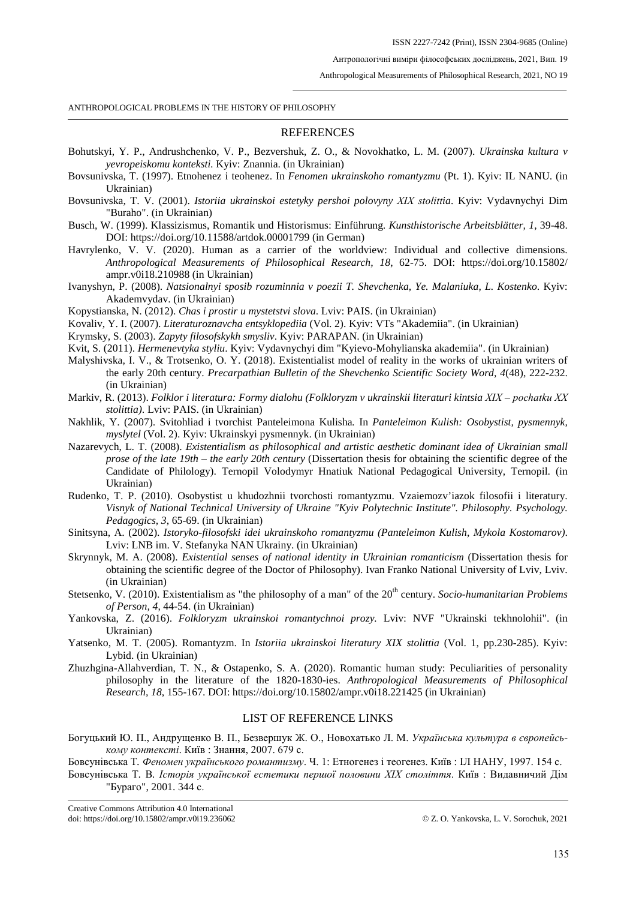Антропологічні виміри філософських досліджень, 2021, Вип. 19

Anthropological Measurements of Philosophical Research, 2021, NO 19

ANTHROPOLOGICAL PROBLEMS IN THE HISTORY OF PHILOSOPHY

#### **REFERENCES**

- Bohutskyi, Y. P., Andrushchenko, V. P., Bezvershuk, Z. O., & Novokhatko, L. M. (2007). *Ukrainska kultura v yevropeiskomu konteksti.* Kyiv: Znannia. (in Ukrainian)
- Bovsunivska, T. (1997). Etnohenez i teohenez. In *Fenomen ukrainskoho romantyzmu* (Pt. 1). Kyiv: IL NANU. (in Ukrainian)
- Bovsunivska, T. V. (2001). *Istoriia ukrainskoi estetyky pershoi polovyny ХІХ stolittia*. Kyiv: Vydavnychyi Dim "Buraho". (in Ukrainian)
- Busch, W. (1999). Klassizismus, Romantik und Historismus: Einführung*. Kunsthistorische Arbeitsblätter, 1*, 39-48. DOI: https://doi.org/10.11588/artdok.00001799 (in German)
- Havrylenko, V. V. (2020). Human as a carrier of the worldview: Individual and collective dimensions. *Anthropological Measurements of Philosophical Research, 18*, 62-75. DOI: https://doi.org/10.15802/ ampr.v0i18.210988 (in Ukrainian)
- Ivanyshyn, P. (2008). *Natsionalnyi sposib rozuminnia v poezii T. Shevchenka, Ye. Malaniuka, L. Kostenko*. Kyiv: Akademvydav. (in Ukrainian)
- Kopystianska, N. (2012). *Chas i prostir u mystetstvi slova*. Lviv: PAIS. (in Ukrainian)
- Kovaliv, Y. I. (2007). *Literaturoznavcha entsyklopediia* (Vol. 2). Kyiv: VTs "Akademiia". (in Ukrainian)
- Krymsky, S. (2003). *Zapyty filosofskykh smysliv*. Kyiv: PARAPAN. (in Ukrainian)
- Kvit, S. (2011). *Hermenevtyka styliu*. Kyiv: Vydavnychyi dim "Kyievo-Mohylianska akademiia". (in Ukrainian)
- Malyshivska, I. V., & Trotsenko, O. Y. (2018). Existentialist model of reality in the works of ukrainian writers of the early 20th century. *Precarpathian Bulletin of the Shevchenko Scientific Society Word, 4*(48), 222-232. (in Ukrainian)
- Markiv, R. (2013). *Folklor i literatura: Formy dialohu (Folkloryzm v ukrainskii literaturi kintsia ХІХ pochatku ХХ stolittia)*. Lviv: PAIS. (in Ukrainian)
- Nakhlik, Y. (2007). Svitohliad i tvorchist Panteleimona Kulisha*.* In *Panteleimon Kulish: Osobystist, pysmennyk, myslytel* (Vol. 2). Kyiv: Ukrainskyi pysmennyk. (in Ukrainian)
- Nazarevych, L. T. (2008). *Existentialism as philosophical and artistic aesthetic dominant idea of Ukrainian small prose of the late 19th – the early 20th century* (Dissertation thesis for obtaining the scientific degree of the Candidate of Philology). Ternopil Volodymyr Hnatiuk National Pedagogical University, Ternopil. (in Ukrainian)
- Rudenko, T. P. (2010). Osobystist u khudozhnii tvorchosti romantyzmu. Vzaiemozv'iazok filosofii i literatury. *Visnyk of National Technical University of Ukraine "Kyiv Polytechnic Institute". Philosophy. Psychology. Pedagogics, 3*, 65-69. (in Ukrainian)
- Sinitsyna, A. (2002). *Istoryko-filosofski idei ukrainskoho romantyzmu (Panteleimon Kulish, Mykola Kostomarov)*. Lviv: LNB im. V. Stefanyka NAN Ukrainy. (in Ukrainian)
- Skrynnyk, M. A. (2008). *Existential senses of national identity in Ukrainian romanticism* (Dissertation thesis for obtaining the scientific degree of the Doctor of Philosophy). Ivan Franko National University of Lviv, Lviv. (in Ukrainian)
- Stetsenko, V. (2010). Existentialism as "the philosophy of a man" of the 20<sup>th</sup> century. *Socio-humanitarian Problems of Person, 4*, 44-54. (in Ukrainian)
- Yankovska, Z. (2016). *Folkloryzm ukrainskoi romantychnoi prozy.* Lviv: NVF "Ukrainski tekhnolohii". (in Ukrainian)
- Yatsenko, M. T. (2005). Romantyzm. In *Istoriia ukrainskoi literatury XIX stolittia* (Vol. 1, pp.230-285). Kyiv: Lybid. (in Ukrainian)
- Zhuzhgina-Allahverdian, T. N., & Ostapenko, S. A. (2020). Romantic human study: Peculiarities of personality philosophy in the literature of the 1820-1830-ies. *Anthropological Measurements of Philosophical Research, 18*, 155-167. DOI: https://doi.org/10.15802/ampr.v0i18.221425 (in Ukrainian)

#### LIST OF REFERENCE LINKS

Богуцький Ю. П., Андрущенко В. П., Безвершук Ж. О., Новохатько Л. М. *Українська культура в європейському контексті*. Київ : Знання, 2007. 679 с.

Бовсунівська Т*. Феномен українського романтизму*. Ч. 1: Етногенез і теогенез. Київ : ІЛ НАНУ, 1997. 154 с.

Бовсунівська Т*.* В*. Історія української естетики першої половини ХІХ століття*. Київ : Видавничий Дім "Бураго", 2001. 344 с.

Creative Commons Attribution 4.0 International doi: https://doi.org/10.15802/ampr.v0i19.236062 © Z. O. Yankovska, L. V. Sorochuk, 2021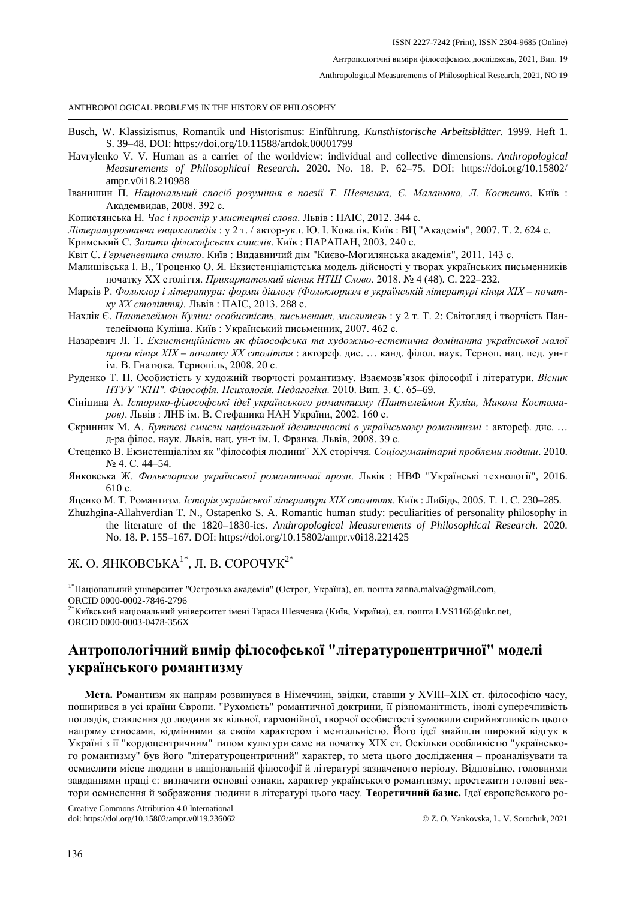Антропологічні виміри філософських досліджень, 2021, Вип. 19

Anthropological Measurements of Philosophical Research, 2021, NO 19

ANTHROPOLOGICAL PROBLEMS IN THE HISTORY OF PHILOSOPHY

- Busch, W. Klassizismus, Romantik und Historismus: Einführung*. Kunsthistorische Arbeitsblätter*. 1999. Heft 1. S. 39–48. DOI: https://doi.org/10.11588/artdok.00001799
- Havrylenko V. V. Human as a carrier of the worldview: individual and collective dimensions. *Anthropological Measurements of Philosophical Research*. 2020. No. 18. P. 62–75. DOI: https://doi.org/10.15802/ ampr.v0i18.210988
- Іванишин П. *Національний спосіб розуміння в поезії Т. Шевченка, Є. Маланюка, Л. Костенко*. Київ : Академвидав, 2008. 392 с.
- Копистянська Н*. Час і простір у мистецтві слова*. Львів : ПАІС, 2012. 344 с.
- *Літературознавча енциклопедія* : у 2 т. / автор-укл. Ю. І. Ковалів. Київ : ВЦ "Академія", 2007. Т. 2. 624 с.
- Кримський С. *Запити філософських смислів*. Київ : ПАРАПАН, 2003. 240 с.
- Квіт С. *Герменевтика стилю*. Київ : Видавничий дім "Києво-Могилянська академія", 2011. 143 с.
- Малишівська І. В., Троценко О. Я. Екзистенціалістська модель дійсності у творах українських письменників початку ХХ століття. *Прикарпатський вісник НТШ Слово*. 2018. № 4 (48). C. 222–232.
- Марків Р. Фольклор і література: форми діалогу (Фольклоризм в українській літературі кінця XIX почат*ку ХХ століття)*. Львів : ПАІС, 2013. 288 с.
- Нахлік Є. *Пантелеймон Куліш: особистість, письменник, мислитель* : у 2 т. Т. 2: Світогляд і творчість Пантелеймона Куліша. Київ : Український письменник, 2007. 462 с.
- Назаревич Л. Т. *Екзистенційність як філософська та художньо-естетична домінанта української малої прози кінця ХІХ – початку ХХ століття* : автореф. дис. … канд. філол. наук. Терноп. нац. пед. ун-т ім. В. Гнатюка. Тернопіль, 2008. 20 с.
- Руденко Т. П. Особистість у художній творчості романтизму. Взаємозв'язок філософії і літератури. *Вісник НТУУ "КПІ". Філософія. Психологія. Педагогіка.* 2010. Вип. 3. С. 65–69.
- Сініцина А. *Історико-філософські ідеї українського романтизму (Пантелеймон Куліш, Микола Костомаров)*. Львів : ЛНБ ім. В. Стефаника НАН України, 2002. 160 с.
- Скринник М. А. *Буттєві смисли національної ідентичності в українському романтизмі* : автореф. дис. *…* д-ра філос. наук. Львів. нац. ун-т ім. І. Франка. Львів, 2008. 39 с.
- Стеценко В. Екзистенціалізм як "філософія людини" ХХ сторіччя. *Соціогуманітарні проблеми людини*. 2010. № 4. С. 44–54.
- Янковська Ж. *Фольклоризм української романтичної прози*. Львів : НВФ "Українські технології", 2016. 610 с.
- Яценко М. Т. Романтизм. *Історія української літератури ХІХ століття*. Київ : Либідь, 2005. Т. 1. С. 230–285.
- Zhuzhgina-Allahverdian T. N., Ostapenko S. A. Romantic human study: peculiarities of personality philosophy in the literature of the 1820–1830-ies. *Anthropological Measurements of Philosophical Research*. 2020. No. 18. P. 155–167. DOI: https://doi.org/10.15802/ampr.v0i18.221425

Ж. О. ЯНКОВСЬКА<sup>1\*</sup>, Л. В. СОРОЧУК<sup>2\*</sup>

<sup>1\*</sup>Національний університет "Острозька академія" (Острог, Україна), ел. пошта zanna.malva@gmail.com,<br>ORCID 0000-0002-7846-2796

 $2^*$ Київський національний університет імені Тараса Шевченка (Київ, Україна), ел. пошта LVS1166@ukr.net, ORCID 0000-0003-0478-356X

# **Антропологічний вимір філософської "літературоцентричної" моделі українського романтизму**

**Мета.** Романтизм як напрям розвинувся в Німеччині, звідки, ставши у ХVІІІ–ХІХ ст. філософією часу, поширився в усі країни Європи. "Рухомість" романтичної доктрини, її різноманітність, іноді суперечливість поглядів, ставлення до людини як вільної, гармонійної, творчої особистості зумовили сприйнятливість цього напряму етносами, відмінними за своїм характером і ментальністю. Його ідеї знайшли широкий відгук в Україні з її "кордоцентричним" типом культури саме на початку ХІХ ст. Оскільки особливістю "українського романтизму" був його "літературоцентричний" характер, то мета цього дослідження – проаналізувати та осмислити місце людини в національній філософії й літературі зазначеного періоду. Відповідно, головними завданнями праці є: визначити основні ознаки, характер українського романтизму; простежити головні вектори осмислення й зображення людини в літературі цього часу. **Теоретичний базис.** Ідеї європейського ро-